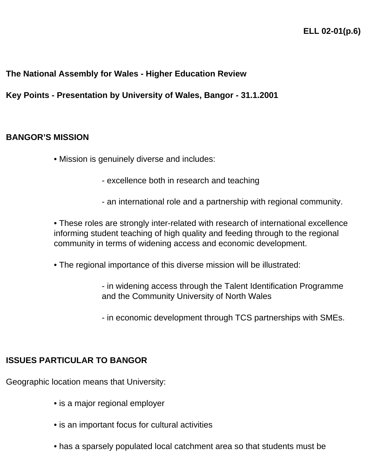# **The National Assembly for Wales - Higher Education Review**

**Key Points - Presentation by University of Wales, Bangor - 31.1.2001**

#### **BANGOR'S MISSION**

- Mission is genuinely diverse and includes:
	- excellence both in research and teaching
	- an international role and a partnership with regional community.

• These roles are strongly inter-related with research of international excellence informing student teaching of high quality and feeding through to the regional community in terms of widening access and economic development.

• The regional importance of this diverse mission will be illustrated:

- in widening access through the Talent Identification Programme and the Community University of North Wales

- in economic development through TCS partnerships with SMEs.

### **ISSUES PARTICULAR TO BANGOR**

Geographic location means that University:

- is a major regional employer
- is an important focus for cultural activities
- has a sparsely populated local catchment area so that students must be